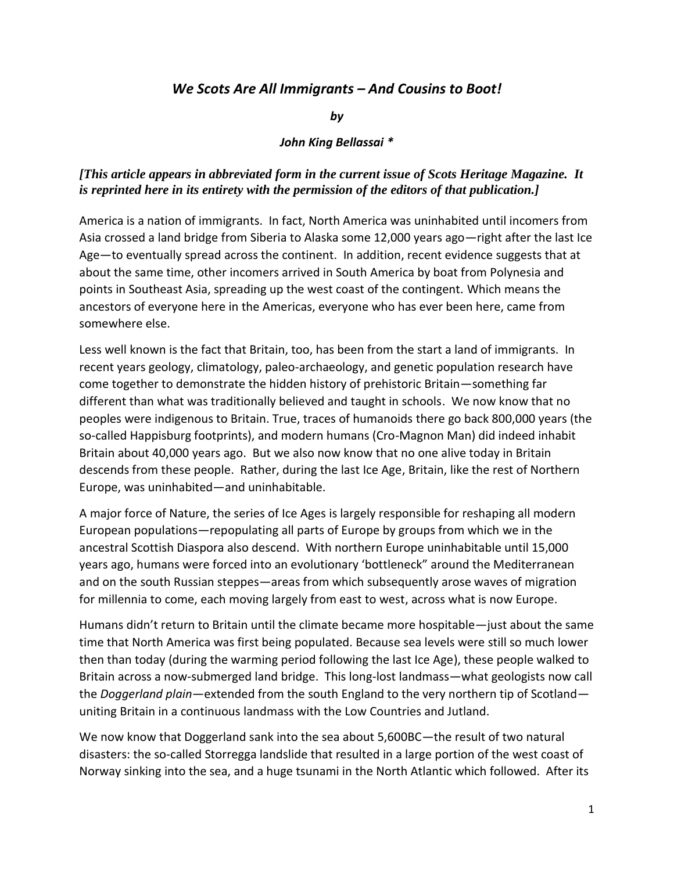## *We Scots Are All Immigrants – And Cousins to Boot!*

*by*

## *John King Bellassai \**

## *[This article appears in abbreviated form in the current issue of Scots Heritage Magazine. It is reprinted here in its entirety with the permission of the editors of that publication.]*

America is a nation of immigrants. In fact, North America was uninhabited until incomers from Asia crossed a land bridge from Siberia to Alaska some 12,000 years ago—right after the last Ice Age—to eventually spread across the continent. In addition, recent evidence suggests that at about the same time, other incomers arrived in South America by boat from Polynesia and points in Southeast Asia, spreading up the west coast of the contingent. Which means the ancestors of everyone here in the Americas, everyone who has ever been here, came from somewhere else.

Less well known is the fact that Britain, too, has been from the start a land of immigrants. In recent years geology, climatology, paleo-archaeology, and genetic population research have come together to demonstrate the hidden history of prehistoric Britain—something far different than what was traditionally believed and taught in schools. We now know that no peoples were indigenous to Britain. True, traces of humanoids there go back 800,000 years (the so-called Happisburg footprints), and modern humans (Cro-Magnon Man) did indeed inhabit Britain about 40,000 years ago. But we also now know that no one alive today in Britain descends from these people. Rather, during the last Ice Age, Britain, like the rest of Northern Europe, was uninhabited—and uninhabitable.

A major force of Nature, the series of Ice Ages is largely responsible for reshaping all modern European populations—repopulating all parts of Europe by groups from which we in the ancestral Scottish Diaspora also descend. With northern Europe uninhabitable until 15,000 years ago, humans were forced into an evolutionary 'bottleneck" around the Mediterranean and on the south Russian steppes—areas from which subsequently arose waves of migration for millennia to come, each moving largely from east to west, across what is now Europe.

Humans didn't return to Britain until the climate became more hospitable—just about the same time that North America was first being populated. Because sea levels were still so much lower then than today (during the warming period following the last Ice Age), these people walked to Britain across a now-submerged land bridge. This long-lost landmass—what geologists now call the *Doggerland plain—*extended from the south England to the very northern tip of Scotland uniting Britain in a continuous landmass with the Low Countries and Jutland.

We now know that Doggerland sank into the sea about 5,600BC—the result of two natural disasters: the so-called Storregga landslide that resulted in a large portion of the west coast of Norway sinking into the sea, and a huge tsunami in the North Atlantic which followed. After its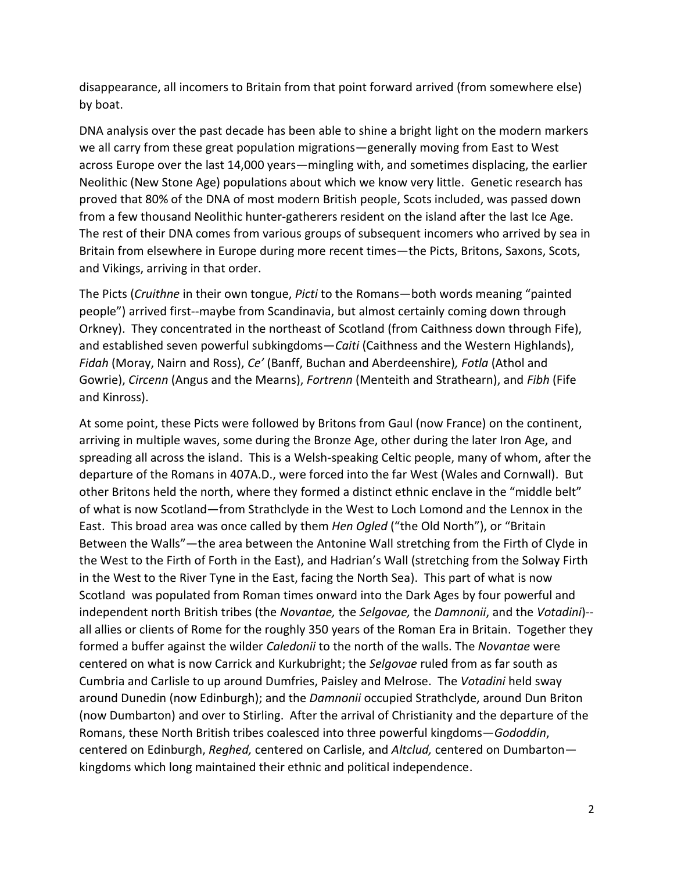disappearance, all incomers to Britain from that point forward arrived (from somewhere else) by boat.

DNA analysis over the past decade has been able to shine a bright light on the modern markers we all carry from these great population migrations—generally moving from East to West across Europe over the last 14,000 years—mingling with, and sometimes displacing, the earlier Neolithic (New Stone Age) populations about which we know very little. Genetic research has proved that 80% of the DNA of most modern British people, Scots included, was passed down from a few thousand Neolithic hunter-gatherers resident on the island after the last Ice Age. The rest of their DNA comes from various groups of subsequent incomers who arrived by sea in Britain from elsewhere in Europe during more recent times—the Picts, Britons, Saxons, Scots, and Vikings, arriving in that order.

The Picts (*Cruithne* in their own tongue, *Picti* to the Romans—both words meaning "painted people") arrived first--maybe from Scandinavia, but almost certainly coming down through Orkney). They concentrated in the northeast of Scotland (from Caithness down through Fife), and established seven powerful subkingdoms—*Caiti* (Caithness and the Western Highlands), *Fidah* (Moray, Nairn and Ross), *Ce'* (Banff, Buchan and Aberdeenshire)*, Fotla* (Athol and Gowrie), *Circenn* (Angus and the Mearns), *Fortrenn* (Menteith and Strathearn), and *Fibh* (Fife and Kinross).

At some point, these Picts were followed by Britons from Gaul (now France) on the continent, arriving in multiple waves, some during the Bronze Age, other during the later Iron Age, and spreading all across the island. This is a Welsh-speaking Celtic people, many of whom, after the departure of the Romans in 407A.D., were forced into the far West (Wales and Cornwall). But other Britons held the north, where they formed a distinct ethnic enclave in the "middle belt" of what is now Scotland—from Strathclyde in the West to Loch Lomond and the Lennox in the East. This broad area was once called by them *Hen Ogled* ("the Old North"), or "Britain Between the Walls"—the area between the Antonine Wall stretching from the Firth of Clyde in the West to the Firth of Forth in the East), and Hadrian's Wall (stretching from the Solway Firth in the West to the River Tyne in the East, facing the North Sea). This part of what is now Scotland was populated from Roman times onward into the Dark Ages by four powerful and independent north British tribes (the *Novantae,* the *Selgovae,* the *Damnonii*, and the *Votadini*)- all allies or clients of Rome for the roughly 350 years of the Roman Era in Britain. Together they formed a buffer against the wilder *Caledonii* to the north of the walls. The *Novantae* were centered on what is now Carrick and Kurkubright; the *Selgovae* ruled from as far south as Cumbria and Carlisle to up around Dumfries, Paisley and Melrose. The *Votadini* held sway around Dunedin (now Edinburgh); and the *Damnonii* occupied Strathclyde, around Dun Briton (now Dumbarton) and over to Stirling. After the arrival of Christianity and the departure of the Romans, these North British tribes coalesced into three powerful kingdoms—*Gododdin*, centered on Edinburgh, *Reghed,* centered on Carlisle, and *Altclud,* centered on Dumbarton kingdoms which long maintained their ethnic and political independence.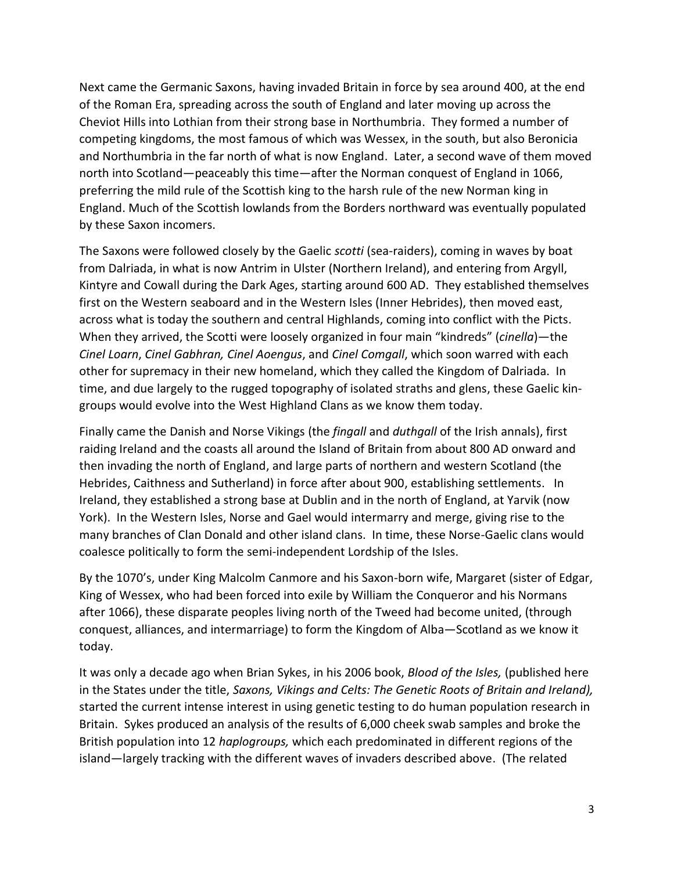Next came the Germanic Saxons, having invaded Britain in force by sea around 400, at the end of the Roman Era, spreading across the south of England and later moving up across the Cheviot Hills into Lothian from their strong base in Northumbria. They formed a number of competing kingdoms, the most famous of which was Wessex, in the south, but also Beronicia and Northumbria in the far north of what is now England. Later, a second wave of them moved north into Scotland—peaceably this time—after the Norman conquest of England in 1066, preferring the mild rule of the Scottish king to the harsh rule of the new Norman king in England. Much of the Scottish lowlands from the Borders northward was eventually populated by these Saxon incomers.

The Saxons were followed closely by the Gaelic *scotti* (sea-raiders), coming in waves by boat from Dalriada, in what is now Antrim in Ulster (Northern Ireland), and entering from Argyll, Kintyre and Cowall during the Dark Ages, starting around 600 AD. They established themselves first on the Western seaboard and in the Western Isles (Inner Hebrides), then moved east, across what is today the southern and central Highlands, coming into conflict with the Picts. When they arrived, the Scotti were loosely organized in four main "kindreds" (*cinella*)—the *Cinel Loarn*, *Cinel Gabhran, Cinel Aoengus*, and *Cinel Comgall*, which soon warred with each other for supremacy in their new homeland, which they called the Kingdom of Dalriada. In time, and due largely to the rugged topography of isolated straths and glens, these Gaelic kingroups would evolve into the West Highland Clans as we know them today.

Finally came the Danish and Norse Vikings (the *fingall* and *duthgall* of the Irish annals), first raiding Ireland and the coasts all around the Island of Britain from about 800 AD onward and then invading the north of England, and large parts of northern and western Scotland (the Hebrides, Caithness and Sutherland) in force after about 900, establishing settlements. In Ireland, they established a strong base at Dublin and in the north of England, at Yarvik (now York). In the Western Isles, Norse and Gael would intermarry and merge, giving rise to the many branches of Clan Donald and other island clans. In time, these Norse-Gaelic clans would coalesce politically to form the semi-independent Lordship of the Isles.

By the 1070's, under King Malcolm Canmore and his Saxon-born wife, Margaret (sister of Edgar, King of Wessex, who had been forced into exile by William the Conqueror and his Normans after 1066), these disparate peoples living north of the Tweed had become united, (through conquest, alliances, and intermarriage) to form the Kingdom of Alba—Scotland as we know it today.

It was only a decade ago when Brian Sykes, in his 2006 book, *Blood of the Isles,* (published here in the States under the title, *Saxons, Vikings and Celts: The Genetic Roots of Britain and Ireland),*  started the current intense interest in using genetic testing to do human population research in Britain. Sykes produced an analysis of the results of 6,000 cheek swab samples and broke the British population into 12 *haplogroups,* which each predominated in different regions of the island—largely tracking with the different waves of invaders described above. (The related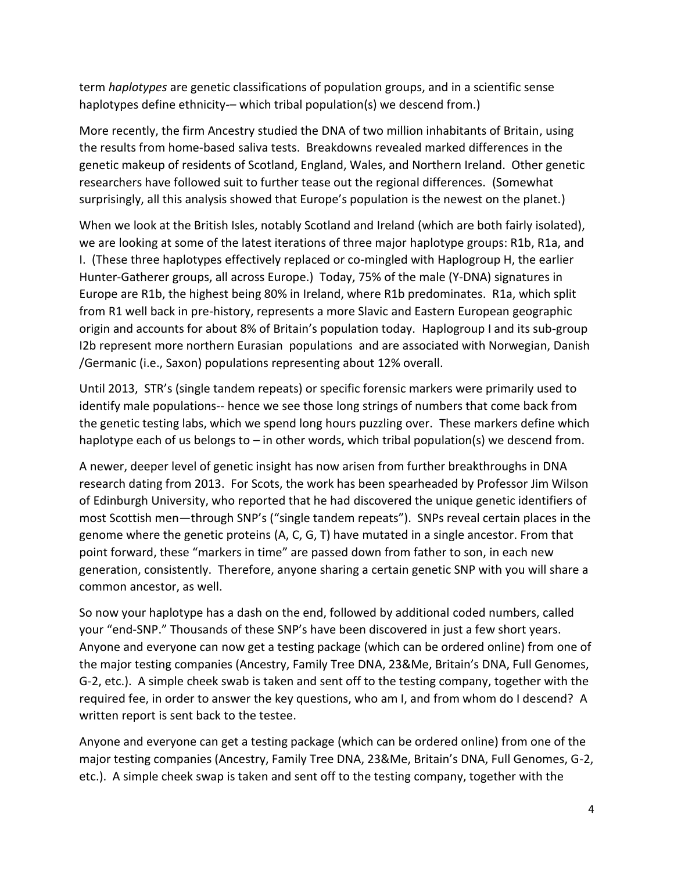term *haplotypes* are genetic classifications of population groups, and in a scientific sense haplotypes define ethnicity-- which tribal population(s) we descend from.)

More recently, the firm Ancestry studied the DNA of two million inhabitants of Britain, using the results from home-based saliva tests. Breakdowns revealed marked differences in the genetic makeup of residents of Scotland, England, Wales, and Northern Ireland. Other genetic researchers have followed suit to further tease out the regional differences. (Somewhat surprisingly, all this analysis showed that Europe's population is the newest on the planet.)

When we look at the British Isles, notably Scotland and Ireland (which are both fairly isolated), we are looking at some of the latest iterations of three major haplotype groups: R1b, R1a, and I. (These three haplotypes effectively replaced or co-mingled with Haplogroup H, the earlier Hunter-Gatherer groups, all across Europe.) Today, 75% of the male (Y-DNA) signatures in Europe are R1b, the highest being 80% in Ireland, where R1b predominates. R1a, which split from R1 well back in pre-history, represents a more Slavic and Eastern European geographic origin and accounts for about 8% of Britain's population today. Haplogroup I and its sub-group I2b represent more northern Eurasian populations and are associated with Norwegian, Danish /Germanic (i.e., Saxon) populations representing about 12% overall.

Until 2013, STR's (single tandem repeats) or specific forensic markers were primarily used to identify male populations-- hence we see those long strings of numbers that come back from the genetic testing labs, which we spend long hours puzzling over. These markers define which haplotype each of us belongs to – in other words, which tribal population(s) we descend from.

A newer, deeper level of genetic insight has now arisen from further breakthroughs in DNA research dating from 2013. For Scots, the work has been spearheaded by Professor Jim Wilson of Edinburgh University, who reported that he had discovered the unique genetic identifiers of most Scottish men—through SNP's ("single tandem repeats"). SNPs reveal certain places in the genome where the genetic proteins (A, C, G, T) have mutated in a single ancestor. From that point forward, these "markers in time" are passed down from father to son, in each new generation, consistently. Therefore, anyone sharing a certain genetic SNP with you will share a common ancestor, as well.

So now your haplotype has a dash on the end, followed by additional coded numbers, called your "end-SNP." Thousands of these SNP's have been discovered in just a few short years. Anyone and everyone can now get a testing package (which can be ordered online) from one of the major testing companies (Ancestry, Family Tree DNA, 23&Me, Britain's DNA, Full Genomes, G-2, etc.). A simple cheek swab is taken and sent off to the testing company, together with the required fee, in order to answer the key questions, who am I, and from whom do I descend? A written report is sent back to the testee.

Anyone and everyone can get a testing package (which can be ordered online) from one of the major testing companies (Ancestry, Family Tree DNA, 23&Me, Britain's DNA, Full Genomes, G-2, etc.). A simple cheek swap is taken and sent off to the testing company, together with the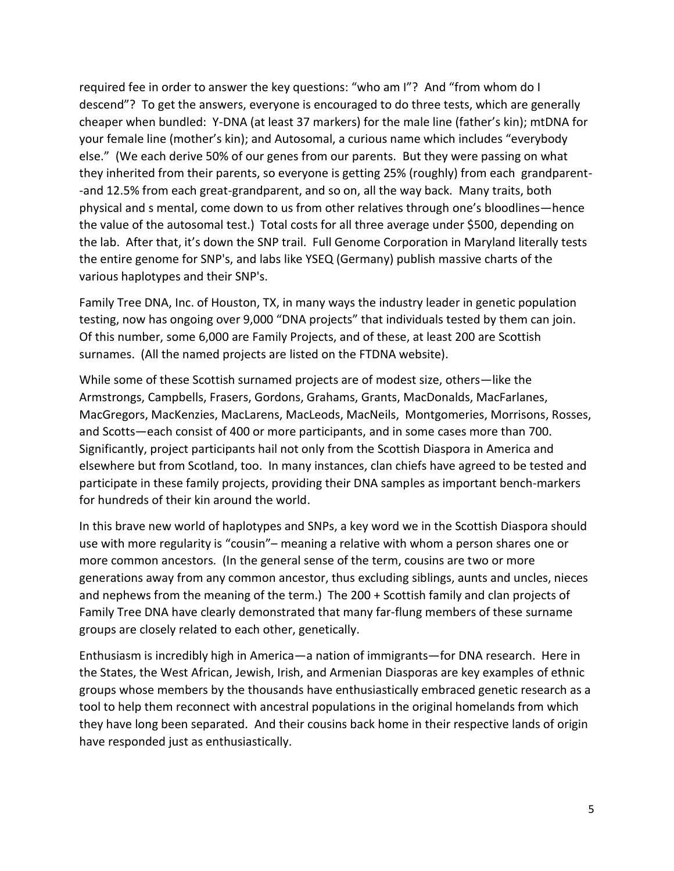required fee in order to answer the key questions: "who am I"? And "from whom do I descend"? To get the answers, everyone is encouraged to do three tests, which are generally cheaper when bundled: Y-DNA (at least 37 markers) for the male line (father's kin); mtDNA for your female line (mother's kin); and Autosomal, a curious name which includes "everybody else." (We each derive 50% of our genes from our parents. But they were passing on what they inherited from their parents, so everyone is getting 25% (roughly) from each grandparent- -and 12.5% from each great-grandparent, and so on, all the way back. Many traits, both physical and s mental, come down to us from other relatives through one's bloodlines—hence the value of the autosomal test.) Total costs for all three average under \$500, depending on the lab. After that, it's down the SNP trail. Full Genome Corporation in Maryland literally tests the entire genome for SNP's, and labs like YSEQ (Germany) publish massive charts of the various haplotypes and their SNP's.

Family Tree DNA, Inc. of Houston, TX, in many ways the industry leader in genetic population testing, now has ongoing over 9,000 "DNA projects" that individuals tested by them can join. Of this number, some 6,000 are Family Projects, and of these, at least 200 are Scottish surnames. (All the named projects are listed on the FTDNA website).

While some of these Scottish surnamed projects are of modest size, others—like the Armstrongs, Campbells, Frasers, Gordons, Grahams, Grants, MacDonalds, MacFarlanes, MacGregors, MacKenzies, MacLarens, MacLeods, MacNeils, Montgomeries, Morrisons, Rosses, and Scotts—each consist of 400 or more participants, and in some cases more than 700. Significantly, project participants hail not only from the Scottish Diaspora in America and elsewhere but from Scotland, too. In many instances, clan chiefs have agreed to be tested and participate in these family projects, providing their DNA samples as important bench-markers for hundreds of their kin around the world.

In this brave new world of haplotypes and SNPs, a key word we in the Scottish Diaspora should use with more regularity is "cousin"– meaning a relative with whom a person shares one or more common ancestors. (In the general sense of the term, cousins are two or more generations away from any common ancestor, thus excluding siblings, aunts and uncles, nieces and nephews from the meaning of the term.) The 200 + Scottish family and clan projects of Family Tree DNA have clearly demonstrated that many far-flung members of these surname groups are closely related to each other, genetically.

Enthusiasm is incredibly high in America—a nation of immigrants—for DNA research. Here in the States, the West African, Jewish, Irish, and Armenian Diasporas are key examples of ethnic groups whose members by the thousands have enthusiastically embraced genetic research as a tool to help them reconnect with ancestral populations in the original homelands from which they have long been separated. And their cousins back home in their respective lands of origin have responded just as enthusiastically.